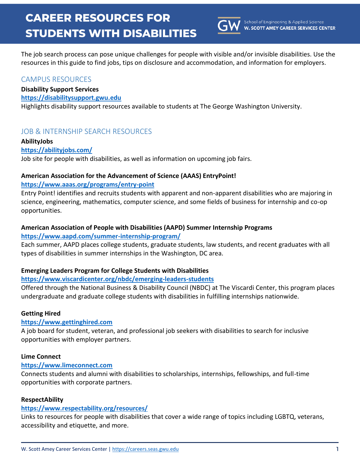

The job search process can pose unique challenges for people with visible and/or invisible disabilities. Use the resources in this guide to find jobs, tips on disclosure and accommodation, and information for employers.

# CAMPUS RESOURCES

## **Disability Support Services**

#### **[https://disabilitysupport.gwu.edu](https://disabilitysupport.gwu.edu/)**

Highlights disability support resources available to students at The George Washington University.

# JOB & INTERNSHIP SEARCH RESOURCES

## **AbilityJobs**

## **<https://abilityjobs.com/>**

Job site for people with disabilities, as well as information on upcoming job fairs.

# **American Association for the Advancement of Science (AAAS) EntryPoint!**

## **<https://www.aaas.org/programs/entry-point>**

Entry Point! identifies and recruits students with apparent and non-apparent disabilities who are majoring in science, engineering, mathematics, computer science, and some fields of business for internship and co-op opportunities.

# **American Association of People with Disabilities (AAPD) Summer Internship Programs**

## **<https://www.aapd.com/summer-internship-program/>**

Each summer, AAPD places college students, graduate students, law students, and recent graduates with all types of disabilities in summer internships in the Washington, DC area.

# **Emerging Leaders Program for College Students with Disabilities**

# **<https://www.viscardicenter.org/nbdc/emerging-leaders-students>**

Offered through the National Business & Disability Council (NBDC) at The Viscardi Center, this program places undergraduate and graduate college students with disabilities in fulfilling internships nationwide.

# **Getting Hired**

# **[https://www.gettinghired.com](https://www.gettinghired.com/)**

A job board for student, veteran, and professional job seekers with disabilities to search for inclusive opportunities with employer partners.

#### **Lime Connect**

# **[https://www.limeconnect.com](https://www.limeconnect.com/)**

Connects students and alumni with disabilities to scholarships, internships, fellowships, and full-time opportunities with corporate partners.

#### **RespectAbility**

# **<https://www.respectability.org/resources/>**

Links to resources for people with disabilities that cover a wide range of topics including LGBTQ, veterans, accessibility and etiquette, and more.